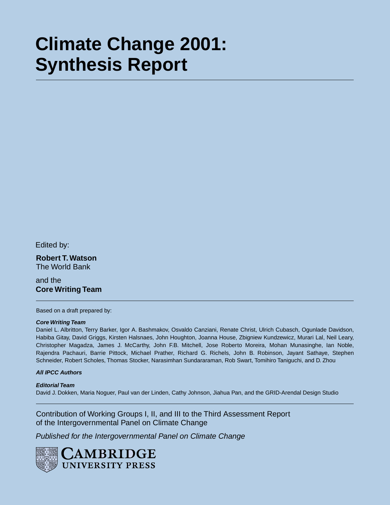# **Climate Change 2001: Synthesis Report**

Edited by:

**Robert T. Watson** The World Bank

and the **Core Writing Team**

Based on a draft prepared by:

### **Core Writing Team**

Daniel L. Albritton, Terry Barker, Igor A. Bashmakov, Osvaldo Canziani, Renate Christ, Ulrich Cubasch, Ogunlade Davidson, Habiba Gitay, David Griggs, Kirsten Halsnaes, John Houghton, Joanna House, Zbigniew Kundzewicz, Murari Lal, Neil Leary, Christopher Magadza, James J. McCarthy, John F.B. Mitchell, Jose Roberto Moreira, Mohan Munasinghe, Ian Noble, Rajendra Pachauri, Barrie Pittock, Michael Prather, Richard G. Richels, John B. Robinson, Jayant Sathaye, Stephen Schneider, Robert Scholes, Thomas Stocker, Narasimhan Sundararaman, Rob Swart, Tomihiro Taniguchi, and D. Zhou

## **All IPCC Authors**

**Editorial Team** David J. Dokken, Maria Noguer, Paul van der Linden, Cathy Johnson, Jiahua Pan, and the GRID-Arendal Design Studio

Contribution of Working Groups I, II, and III to the Third Assessment Report of the Intergovernmental Panel on Climate Change

Published for the Intergovernmental Panel on Climate Change

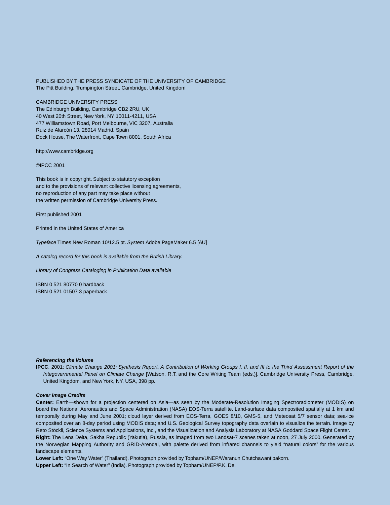PUBLISHED BY THE PRESS SYNDICATE OF THE UNIVERSITY OF CAMBRIDGE The Pitt Building, Trumpington Street, Cambridge, United Kingdom

### CAMBRIDGE UNIVERSITY PRESS

The Edinburgh Building, Cambridge CB2 2RU, UK 40 West 20th Street, New York, NY 10011-4211, USA 477 Williamstown Road, Port Melbourne, VIC 3207, Australia Ruiz de Alarcón 13, 28014 Madrid, Spain Dock House, The Waterfront, Cape Town 8001, South Africa

http://www.cambridge.org

©IPCC 2001

This book is in copyright. Subject to statutory exception and to the provisions of relevant collective licensing agreements, no reproduction of any part may take place without the written permission of Cambridge University Press.

First published 2001

Printed in the United States of America

Typeface Times New Roman 10/12.5 pt. System Adobe PageMaker 6.5 [AU]

A catalog record for this book is available from the British Library.

Library of Congress Cataloging in Publication Data available

ISBN 0 521 80770 0 hardback ISBN 0 521 01507 3 paperback

#### **Referencing the Volume**

**IPCC**, 2001: Climate Change 2001: Synthesis Report. A Contribution of Working Groups I, II, and III to the Third Assessment Report of the Integovernmental Panel on Climate Change [Watson, R.T. and the Core Writing Team (eds.)]. Cambridge University Press, Cambridge, United Kingdom, and New York, NY, USA, 398 pp.

#### **Cover Image Credits**

**Center:** Earth—shown for a projection centered on Asia—as seen by the Moderate-Resolution Imaging Spectroradiometer (MODIS) on board the National Aeronautics and Space Administration (NASA) EOS-Terra satellite. Land-surface data composited spatially at 1 km and temporally during May and June 2001; cloud layer derived from EOS-Terra, GOES 8/10, GMS-5, and Meteosat 5/7 sensor data; sea-ice composited over an 8-day period using MODIS data; and U.S. Geological Survey topography data overlain to visualize the terrain. Image by Reto Stöckli, Science Systems and Applications, Inc., and the Visualization and Analysis Laboratory at NASA Goddard Space Flight Center. **Right:** The Lena Delta, Sakha Republic (Yakutia), Russia, as imaged from two Landsat-7 scenes taken at noon, 27 July 2000. Generated by the Norwegian Mapping Authority and GRID-Arendal, with palette derived from infrared channels to yield "natural colors" for the various landscape elements.

**Lower Left:** "One Way Water" (Thailand). Photograph provided by Topham/UNEP/Waranun Chutchawantipakorn. **Upper Left:** "In Search of Water" (India). Photograph provided by Topham/UNEP/P.K. De.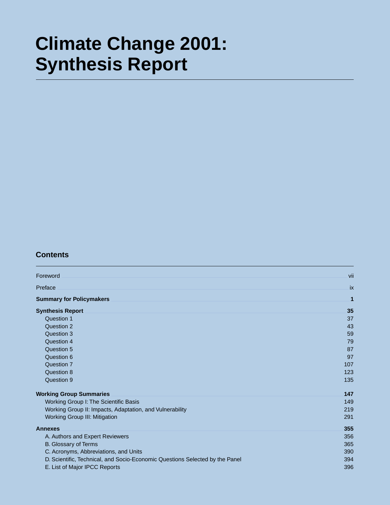# **Climate Change 2001: Synthesis Report**

## **Contents**

| Foreword                                                                     | vii |
|------------------------------------------------------------------------------|-----|
| Preface                                                                      | ix  |
| <b>Summary for Policymakers</b>                                              | 1   |
| <b>Synthesis Report</b>                                                      | 35  |
| Question 1                                                                   | 37  |
| Question 2                                                                   | 43  |
| Question 3                                                                   | 59  |
| Question 4                                                                   | 79  |
| Question 5                                                                   | 87  |
| Question 6                                                                   | 97  |
| Question 7                                                                   | 107 |
| Question 8                                                                   | 123 |
| Question 9                                                                   | 135 |
| <b>Working Group Summaries</b>                                               | 147 |
| Working Group I: The Scientific Basis                                        | 149 |
| Working Group II: Impacts, Adaptation, and Vulnerability                     | 219 |
| <b>Working Group III: Mitigation</b>                                         | 291 |
| Annexes                                                                      | 355 |
| A. Authors and Expert Reviewers                                              | 356 |
| B. Glossary of Terms                                                         | 365 |
| C. Acronyms, Abbreviations, and Units                                        | 390 |
| D. Scientific, Technical, and Socio-Economic Questions Selected by the Panel | 394 |
| E. List of Major IPCC Reports                                                | 396 |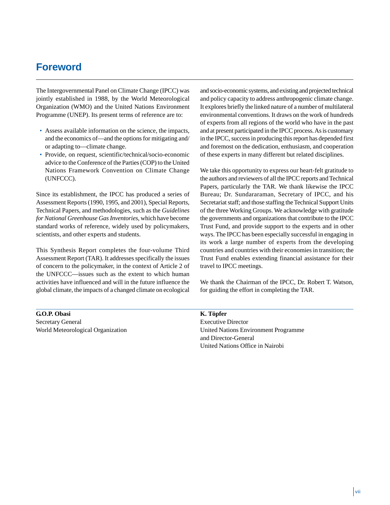# **Foreword**

The Intergovernmental Panel on Climate Change (IPCC) was jointly established in 1988, by the World Meteorological Organization (WMO) and the United Nations Environment Programme (UNEP). Its present terms of reference are to:

- Assess available information on the science, the impacts, and the economics of—and the options for mitigating and/ or adapting to—climate change.
- Provide, on request, scientific/technical/socio-economic advice to the Conference of the Parties (COP) to the United Nations Framework Convention on Climate Change (UNFCCC).

Since its establishment, the IPCC has produced a series of Assessment Reports (1990, 1995, and 2001), Special Reports, Technical Papers, and methodologies, such as the *Guidelines for National Greenhouse Gas Inventories*, which have become standard works of reference, widely used by policymakers, scientists, and other experts and students.

This Synthesis Report completes the four-volume Third Assessment Report (TAR). It addresses specifically the issues of concern to the policymaker, in the context of Article 2 of the UNFCCC—issues such as the extent to which human activities have influenced and will in the future influence the global climate, the impacts of a changed climate on ecological

and socio-economic systems, and existing and projected technical and policy capacity to address anthropogenic climate change. It explores briefly the linked nature of a number of multilateral environmental conventions. It draws on the work of hundreds of experts from all regions of the world who have in the past and at present participated in the IPCC process. As is customary in the IPCC, success in producing this report has depended first and foremost on the dedication, enthusiasm, and cooperation of these experts in many different but related disciplines.

We take this opportunity to express our heart-felt gratitude to the authors and reviewers of all the IPCC reports and Technical Papers, particularly the TAR. We thank likewise the IPCC Bureau; Dr. Sundararaman, Secretary of IPCC, and his Secretariat staff; and those staffing the Technical Support Units of the three Working Groups. We acknowledge with gratitude the governments and organizations that contribute to the IPCC Trust Fund, and provide support to the experts and in other ways. The IPCC has been especially successful in engaging in its work a large number of experts from the developing countries and countries with their economies in transition; the Trust Fund enables extending financial assistance for their travel to IPCC meetings.

We thank the Chairman of the IPCC, Dr. Robert T. Watson, for guiding the effort in completing the TAR.

| G.O.P. Obasi                      | K. Töpfer                            |
|-----------------------------------|--------------------------------------|
| <b>Secretary General</b>          | <b>Executive Director</b>            |
| World Meteorological Organization | United Nations Environment Programme |
|                                   | and Director-General                 |
|                                   | United Nations Office in Nairobi     |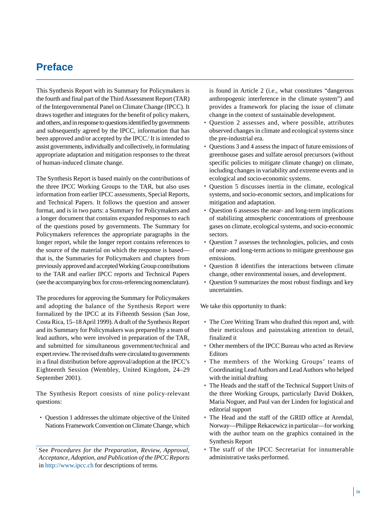# **Preface**

This Synthesis Report with its Summary for Policymakers is the fourth and final part of the Third Assessment Report (TAR) of the Intergovernmental Panel on Climate Change (IPCC). It draws together and integrates for the benefit of policy makers, and others, and in response to questions identified by governments and subsequently agreed by the IPCC, information that has been approved and/or accepted by the IPCC.<sup>*i*</sup> It is intended to assist governments, individually and collectively, in formulating appropriate adaptation and mitigation responses to the threat of human-induced climate change.

The Synthesis Report is based mainly on the contributions of the three IPCC Working Groups to the TAR, but also uses information from earlier IPCC assessments, Special Reports, and Technical Papers. It follows the question and answer format, and is in two parts: a Summary for Policymakers and a longer document that contains expanded responses to each of the questions posed by governments. The Summary for Policymakers references the appropriate paragraphs in the longer report, while the longer report contains references to the source of the material on which the response is based that is, the Summaries for Policymakers and chapters from previously approved and accepted Working Group contributions to the TAR and earlier IPCC reports and Technical Papers (see the accompanying box for cross-referencing nomenclature).

The procedures for approving the Summary for Policymakers and adopting the balance of the Synthesis Report were formalized by the IPCC at its Fifteenth Session (San Jose, Costa Rica, 15–18 April 1999). A draft of the Synthesis Report and its Summary for Policymakers was prepared by a team of lead authors, who were involved in preparation of the TAR, and submitted for simultaneous government/technical and expert review. The revised drafts were circulated to governments in a final distribution before approval/adoption at the IPCC's Eighteenth Session (Wembley, United Kingdom, 24–29 September 2001).

The Synthesis Report consists of nine policy-relevant questions:

• Question 1 addresses the ultimate objective of the United Nations Framework Convention on Climate Change, which is found in Article 2 (i.e., what constitutes "dangerous anthropogenic interference in the climate system") and provides a framework for placing the issue of climate change in the context of sustainable development.

- Question 2 assesses and, where possible, attributes observed changes in climate and ecological systems since the pre-industrial era.
- Questions 3 and 4 assess the impact of future emissions of greenhouse gases and sulfate aerosol precursors (without specific policies to mitigate climate change) on climate, including changes in variability and extreme events and in ecological and socio-economic systems. •
- Question 5 discusses inertia in the climate, ecological systems, and socio-economic sectors, and implications for mitigation and adaptation.
- Question 6 assesses the near- and long-term implications of stabilizing atmospheric concentrations of greenhouse gases on climate, ecological systems, and socio-economic sectors. •
- Question 7 assesses the technologies, policies, and costs of near- and long-term actions to mitigate greenhouse gas emissions.
- Question 8 identifies the interactions between climate change, other environmental issues, and development.
- Question 9 summarizes the most robust findings and key uncertainties.

We take this opportunity to thank:

- The Core Writing Team who drafted this report and, with their meticulous and painstaking attention to detail, finalized it
- Other members of the IPCC Bureau who acted as Review Editors
- The members of the Working Groups' teams of Coordinating Lead Authors and Lead Authors who helped with the initial drafting
- The Heads and the staff of the Technical Support Units of the three Working Groups, particularly David Dokken, Maria Noguer, and Paul van der Linden for logistical and editorial support
- The Head and the staff of the GRID office at Arendal, Norway—Philippe Rekacewicz in particular—for working with the author team on the graphics contained in the Synthesis Report
- The staff of the IPCC Secretariat for innumerable administrative tasks performed.

See *Procedures for the Preparation, Review, Approval, i Acceptance, Adoption, and Publication of the IPCC Reports* in http://www.ipcc.ch for descriptions of terms.